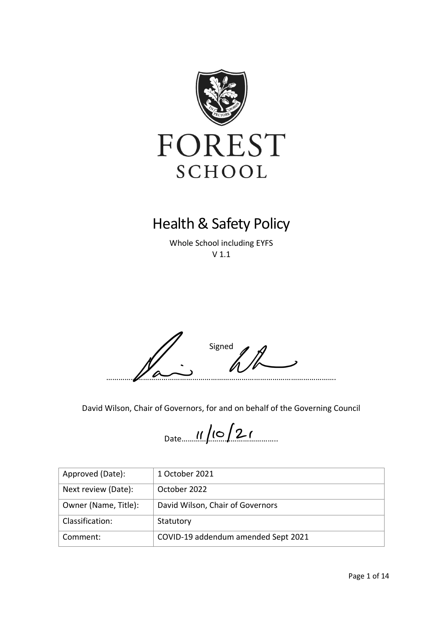

# Health & Safety Policy

Whole School including EYFS V 1.1



David Wilson, Chair of Governors, for and on behalf of the Governing Council

 $Date...$   $|| \ln | \ln | \ln |$ 

| Approved (Date):     | 1 October 2021                      |
|----------------------|-------------------------------------|
| Next review (Date):  | October 2022                        |
| Owner (Name, Title): | David Wilson, Chair of Governors    |
| Classification:      | Statutory                           |
| Comment:             | COVID-19 addendum amended Sept 2021 |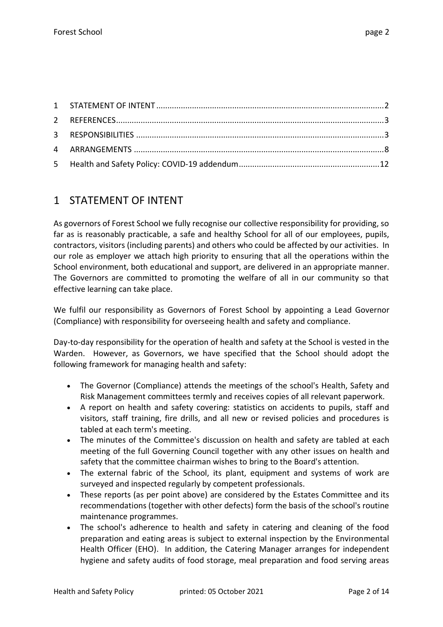### <span id="page-1-0"></span>1 STATEMENT OF INTENT

As governors of Forest School we fully recognise our collective responsibility for providing, so far as is reasonably practicable, a safe and healthy School for all of our employees, pupils, contractors, visitors (including parents) and others who could be affected by our activities. In our role as employer we attach high priority to ensuring that all the operations within the School environment, both educational and support, are delivered in an appropriate manner. The Governors are committed to promoting the welfare of all in our community so that effective learning can take place.

We fulfil our responsibility as Governors of Forest School by appointing a Lead Governor (Compliance) with responsibility for overseeing health and safety and compliance.

Day-to-day responsibility for the operation of health and safety at the School is vested in the Warden. However, as Governors, we have specified that the School should adopt the following framework for managing health and safety:

- The Governor (Compliance) attends the meetings of the school's Health, Safety and Risk Management committees termly and receives copies of all relevant paperwork.
- A report on health and safety covering: statistics on accidents to pupils, staff and visitors, staff training, fire drills, and all new or revised policies and procedures is tabled at each term's meeting.
- The minutes of the Committee's discussion on health and safety are tabled at each meeting of the full Governing Council together with any other issues on health and safety that the committee chairman wishes to bring to the Board's attention.
- The external fabric of the School, its plant, equipment and systems of work are surveyed and inspected regularly by competent professionals.
- These reports (as per point above) are considered by the Estates Committee and its recommendations (together with other defects) form the basis of the school's routine maintenance programmes.
- The school's adherence to health and safety in catering and cleaning of the food preparation and eating areas is subject to external inspection by the Environmental Health Officer (EHO). In addition, the Catering Manager arranges for independent hygiene and safety audits of food storage, meal preparation and food serving areas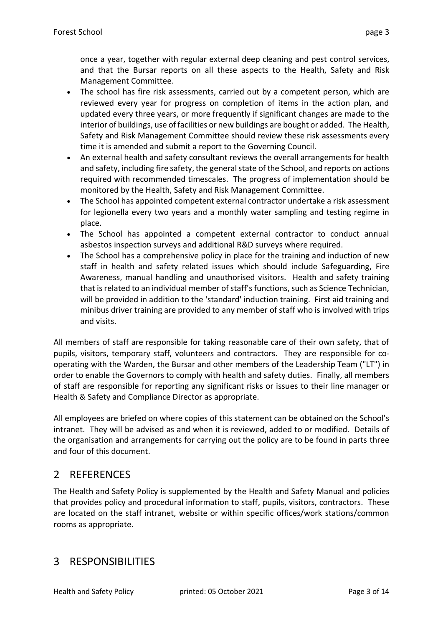once a year, together with regular external deep cleaning and pest control services, and that the Bursar reports on all these aspects to the Health, Safety and Risk Management Committee.

- The school has fire risk assessments, carried out by a competent person, which are reviewed every year for progress on completion of items in the action plan, and updated every three years, or more frequently if significant changes are made to the interior of buildings, use of facilities or new buildings are bought or added. The Health, Safety and Risk Management Committee should review these risk assessments every time it is amended and submit a report to the Governing Council.
- An external health and safety consultant reviews the overall arrangements for health and safety, including fire safety, the general state of the School, and reports on actions required with recommended timescales. The progress of implementation should be monitored by the Health, Safety and Risk Management Committee.
- The School has appointed competent external contractor undertake a risk assessment for legionella every two years and a monthly water sampling and testing regime in place.
- The School has appointed a competent external contractor to conduct annual asbestos inspection surveys and additional R&D surveys where required.
- The School has a comprehensive policy in place for the training and induction of new staff in health and safety related issues which should include Safeguarding, Fire Awareness, manual handling and unauthorised visitors. Health and safety training that is related to an individual member of staff's functions, such as Science Technician, will be provided in addition to the 'standard' induction training. First aid training and minibus driver training are provided to any member of staff who is involved with trips and visits.

All members of staff are responsible for taking reasonable care of their own safety, that of pupils, visitors, temporary staff, volunteers and contractors. They are responsible for cooperating with the Warden, the Bursar and other members of the Leadership Team ("LT") in order to enable the Governors to comply with health and safety duties. Finally, all members of staff are responsible for reporting any significant risks or issues to their line manager or Health & Safety and Compliance Director as appropriate.

All employees are briefed on where copies of this statement can be obtained on the School's intranet. They will be advised as and when it is reviewed, added to or modified. Details of the organisation and arrangements for carrying out the policy are to be found in parts three and four of this document.

## <span id="page-2-0"></span>2 REFERENCES

The Health and Safety Policy is supplemented by the Health and Safety Manual and policies that provides policy and procedural information to staff, pupils, visitors, contractors. These are located on the staff intranet, website or within specific offices/work stations/common rooms as appropriate.

## <span id="page-2-1"></span>3 RESPONSIBILITIES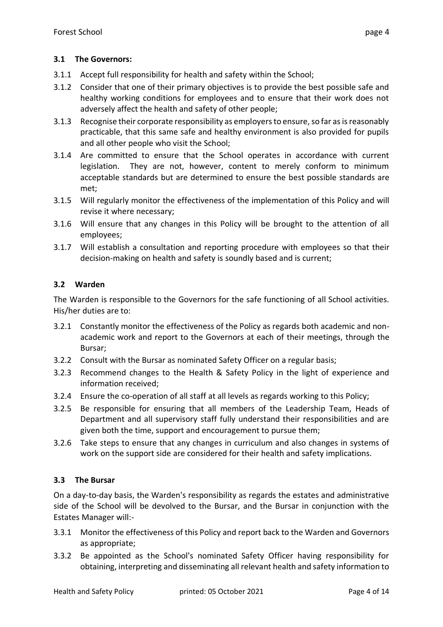#### **3.1 The Governors:**

- 3.1.1 Accept full responsibility for health and safety within the School;
- 3.1.2 Consider that one of their primary objectives is to provide the best possible safe and healthy working conditions for employees and to ensure that their work does not adversely affect the health and safety of other people;
- 3.1.3 Recognise their corporate responsibility as employers to ensure, so far as is reasonably practicable, that this same safe and healthy environment is also provided for pupils and all other people who visit the School;
- 3.1.4 Are committed to ensure that the School operates in accordance with current legislation. They are not, however, content to merely conform to minimum acceptable standards but are determined to ensure the best possible standards are met;
- 3.1.5 Will regularly monitor the effectiveness of the implementation of this Policy and will revise it where necessary;
- 3.1.6 Will ensure that any changes in this Policy will be brought to the attention of all employees;
- 3.1.7 Will establish a consultation and reporting procedure with employees so that their decision-making on health and safety is soundly based and is current;

#### **3.2 Warden**

The Warden is responsible to the Governors for the safe functioning of all School activities. His/her duties are to:

- 3.2.1 Constantly monitor the effectiveness of the Policy as regards both academic and nonacademic work and report to the Governors at each of their meetings, through the Bursar;
- 3.2.2 Consult with the Bursar as nominated Safety Officer on a regular basis;
- 3.2.3 Recommend changes to the Health & Safety Policy in the light of experience and information received;
- 3.2.4 Ensure the co-operation of all staff at all levels as regards working to this Policy;
- 3.2.5 Be responsible for ensuring that all members of the Leadership Team, Heads of Department and all supervisory staff fully understand their responsibilities and are given both the time, support and encouragement to pursue them;
- 3.2.6 Take steps to ensure that any changes in curriculum and also changes in systems of work on the support side are considered for their health and safety implications.

#### **3.3 The Bursar**

On a day-to-day basis, the Warden's responsibility as regards the estates and administrative side of the School will be devolved to the Bursar, and the Bursar in conjunction with the Estates Manager will:-

- 3.3.1 Monitor the effectiveness of this Policy and report back to the Warden and Governors as appropriate;
- 3.3.2 Be appointed as the School's nominated Safety Officer having responsibility for obtaining, interpreting and disseminating all relevant health and safety information to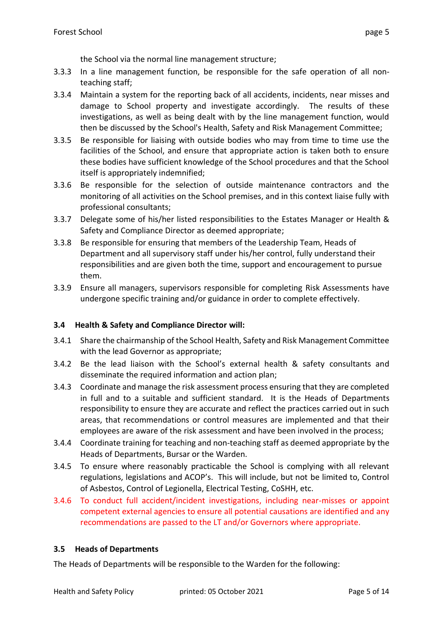the School via the normal line management structure;

- 3.3.3 In a line management function, be responsible for the safe operation of all nonteaching staff;
- 3.3.4 Maintain a system for the reporting back of all accidents, incidents, near misses and damage to School property and investigate accordingly. The results of these investigations, as well as being dealt with by the line management function, would then be discussed by the School's Health, Safety and Risk Management Committee;
- 3.3.5 Be responsible for liaising with outside bodies who may from time to time use the facilities of the School, and ensure that appropriate action is taken both to ensure these bodies have sufficient knowledge of the School procedures and that the School itself is appropriately indemnified;
- 3.3.6 Be responsible for the selection of outside maintenance contractors and the monitoring of all activities on the School premises, and in this context liaise fully with professional consultants;
- 3.3.7 Delegate some of his/her listed responsibilities to the Estates Manager or Health & Safety and Compliance Director as deemed appropriate;
- 3.3.8 Be responsible for ensuring that members of the Leadership Team, Heads of Department and all supervisory staff under his/her control, fully understand their responsibilities and are given both the time, support and encouragement to pursue them.
- 3.3.9 Ensure all managers, supervisors responsible for completing Risk Assessments have undergone specific training and/or guidance in order to complete effectively.

#### **3.4 Health & Safety and Compliance Director will:**

- 3.4.1 Share the chairmanship of the School Health, Safety and Risk Management Committee with the lead Governor as appropriate;
- 3.4.2 Be the lead liaison with the School's external health & safety consultants and disseminate the required information and action plan;
- 3.4.3 Coordinate and manage the risk assessment process ensuring that they are completed in full and to a suitable and sufficient standard. It is the Heads of Departments responsibility to ensure they are accurate and reflect the practices carried out in such areas, that recommendations or control measures are implemented and that their employees are aware of the risk assessment and have been involved in the process;
- 3.4.4 Coordinate training for teaching and non-teaching staff as deemed appropriate by the Heads of Departments, Bursar or the Warden.
- 3.4.5 To ensure where reasonably practicable the School is complying with all relevant regulations, legislations and ACOP's. This will include, but not be limited to, Control of Asbestos, Control of Legionella, Electrical Testing, CoSHH, etc.
- 3.4.6 To conduct full accident/incident investigations, including near-misses or appoint competent external agencies to ensure all potential causations are identified and any recommendations are passed to the LT and/or Governors where appropriate.

#### **3.5 Heads of Departments**

The Heads of Departments will be responsible to the Warden for the following: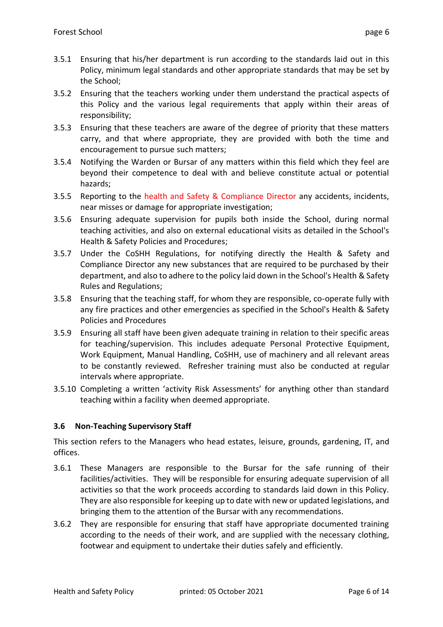- 3.5.1 Ensuring that his/her department is run according to the standards laid out in this Policy, minimum legal standards and other appropriate standards that may be set by the School;
- 3.5.2 Ensuring that the teachers working under them understand the practical aspects of this Policy and the various legal requirements that apply within their areas of responsibility;
- 3.5.3 Ensuring that these teachers are aware of the degree of priority that these matters carry, and that where appropriate, they are provided with both the time and encouragement to pursue such matters;
- 3.5.4 Notifying the Warden or Bursar of any matters within this field which they feel are beyond their competence to deal with and believe constitute actual or potential hazards;
- 3.5.5 Reporting to the health and Safety & Compliance Director any accidents, incidents, near misses or damage for appropriate investigation;
- 3.5.6 Ensuring adequate supervision for pupils both inside the School, during normal teaching activities, and also on external educational visits as detailed in the School's Health & Safety Policies and Procedures;
- 3.5.7 Under the CoSHH Regulations, for notifying directly the Health & Safety and Compliance Director any new substances that are required to be purchased by their department, and also to adhere to the policy laid down in the School's Health & Safety Rules and Regulations;
- 3.5.8 Ensuring that the teaching staff, for whom they are responsible, co-operate fully with any fire practices and other emergencies as specified in the School's Health & Safety Policies and Procedures
- 3.5.9 Ensuring all staff have been given adequate training in relation to their specific areas for teaching/supervision. This includes adequate Personal Protective Equipment, Work Equipment, Manual Handling, CoSHH, use of machinery and all relevant areas to be constantly reviewed. Refresher training must also be conducted at regular intervals where appropriate.
- 3.5.10 Completing a written 'activity Risk Assessments' for anything other than standard teaching within a facility when deemed appropriate.

#### **3.6 Non-Teaching Supervisory Staff**

This section refers to the Managers who head estates, leisure, grounds, gardening, IT, and offices.

- 3.6.1 These Managers are responsible to the Bursar for the safe running of their facilities/activities. They will be responsible for ensuring adequate supervision of all activities so that the work proceeds according to standards laid down in this Policy. They are also responsible for keeping up to date with new or updated legislations, and bringing them to the attention of the Bursar with any recommendations.
- 3.6.2 They are responsible for ensuring that staff have appropriate documented training according to the needs of their work, and are supplied with the necessary clothing, footwear and equipment to undertake their duties safely and efficiently.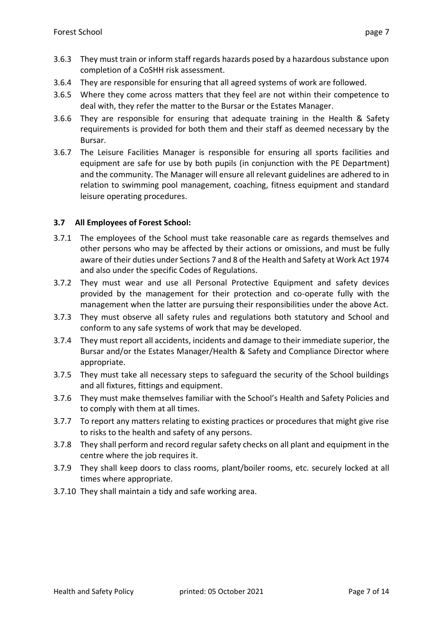- 3.6.3 They must train or inform staff regards hazards posed by a hazardous substance upon completion of a CoSHH risk assessment.
- 3.6.4 They are responsible for ensuring that all agreed systems of work are followed.
- 3.6.5 Where they come across matters that they feel are not within their competence to deal with, they refer the matter to the Bursar or the Estates Manager.
- 3.6.6 They are responsible for ensuring that adequate training in the Health & Safety requirements is provided for both them and their staff as deemed necessary by the Bursar.
- 3.6.7 The Leisure Facilities Manager is responsible for ensuring all sports facilities and equipment are safe for use by both pupils (in conjunction with the PE Department) and the community. The Manager will ensure all relevant guidelines are adhered to in relation to swimming pool management, coaching, fitness equipment and standard leisure operating procedures.

#### **3.7 All Employees of Forest School:**

- 3.7.1 The employees of the School must take reasonable care as regards themselves and other persons who may be affected by their actions or omissions, and must be fully aware of their duties under Sections 7 and 8 of the Health and Safety at Work Act 1974 and also under the specific Codes of Regulations.
- 3.7.2 They must wear and use all Personal Protective Equipment and safety devices provided by the management for their protection and co-operate fully with the management when the latter are pursuing their responsibilities under the above Act.
- 3.7.3 They must observe all safety rules and regulations both statutory and School and conform to any safe systems of work that may be developed.
- 3.7.4 They must report all accidents, incidents and damage to their immediate superior, the Bursar and/or the Estates Manager/Health & Safety and Compliance Director where appropriate.
- 3.7.5 They must take all necessary steps to safeguard the security of the School buildings and all fixtures, fittings and equipment.
- 3.7.6 They must make themselves familiar with the School's Health and Safety Policies and to comply with them at all times.
- 3.7.7 To report any matters relating to existing practices or procedures that might give rise to risks to the health and safety of any persons.
- 3.7.8 They shall perform and record regular safety checks on all plant and equipment in the centre where the job requires it.
- 3.7.9 They shall keep doors to class rooms, plant/boiler rooms, etc. securely locked at all times where appropriate.
- 3.7.10 They shall maintain a tidy and safe working area.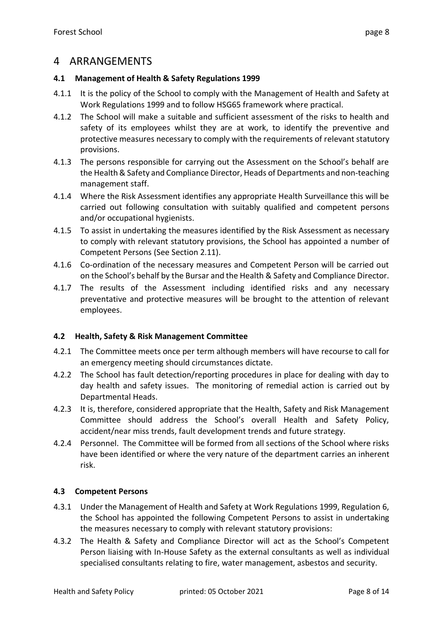### <span id="page-7-0"></span>4 ARRANGEMENTS

#### **4.1 Management of Health & Safety Regulations 1999**

- 4.1.1 It is the policy of the School to comply with the Management of Health and Safety at Work Regulations 1999 and to follow HSG65 framework where practical.
- 4.1.2 The School will make a suitable and sufficient assessment of the risks to health and safety of its employees whilst they are at work, to identify the preventive and protective measures necessary to comply with the requirements of relevant statutory provisions.
- 4.1.3 The persons responsible for carrying out the Assessment on the School's behalf are the Health & Safety and Compliance Director, Heads of Departments and non-teaching management staff.
- 4.1.4 Where the Risk Assessment identifies any appropriate Health Surveillance this will be carried out following consultation with suitably qualified and competent persons and/or occupational hygienists.
- 4.1.5 To assist in undertaking the measures identified by the Risk Assessment as necessary to comply with relevant statutory provisions, the School has appointed a number of Competent Persons (See Section 2.11).
- 4.1.6 Co-ordination of the necessary measures and Competent Person will be carried out on the School's behalf by the Bursar and the Health & Safety and Compliance Director.
- 4.1.7 The results of the Assessment including identified risks and any necessary preventative and protective measures will be brought to the attention of relevant employees.

#### **4.2 Health, Safety & Risk Management Committee**

- 4.2.1 The Committee meets once per term although members will have recourse to call for an emergency meeting should circumstances dictate.
- 4.2.2 The School has fault detection/reporting procedures in place for dealing with day to day health and safety issues. The monitoring of remedial action is carried out by Departmental Heads.
- 4.2.3 It is, therefore, considered appropriate that the Health, Safety and Risk Management Committee should address the School's overall Health and Safety Policy, accident/near miss trends, fault development trends and future strategy.
- 4.2.4 Personnel. The Committee will be formed from all sections of the School where risks have been identified or where the very nature of the department carries an inherent risk.

#### **4.3 Competent Persons**

- 4.3.1 Under the Management of Health and Safety at Work Regulations 1999, Regulation 6, the School has appointed the following Competent Persons to assist in undertaking the measures necessary to comply with relevant statutory provisions:
- 4.3.2 The Health & Safety and Compliance Director will act as the School's Competent Person liaising with In-House Safety as the external consultants as well as individual specialised consultants relating to fire, water management, asbestos and security.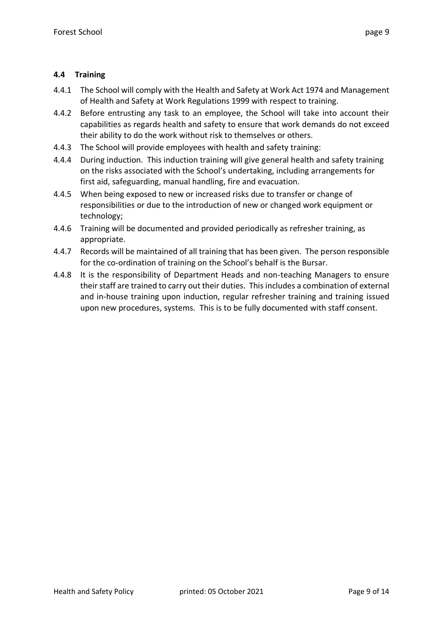#### **4.4 Training**

- 4.4.1 The School will comply with the Health and Safety at Work Act 1974 and Management of Health and Safety at Work Regulations 1999 with respect to training.
- 4.4.2 Before entrusting any task to an employee, the School will take into account their capabilities as regards health and safety to ensure that work demands do not exceed their ability to do the work without risk to themselves or others.
- 4.4.3 The School will provide employees with health and safety training:
- 4.4.4 During induction. This induction training will give general health and safety training on the risks associated with the School's undertaking, including arrangements for first aid, safeguarding, manual handling, fire and evacuation.
- 4.4.5 When being exposed to new or increased risks due to transfer or change of responsibilities or due to the introduction of new or changed work equipment or technology;
- 4.4.6 Training will be documented and provided periodically as refresher training, as appropriate.
- 4.4.7 Records will be maintained of all training that has been given. The person responsible for the co-ordination of training on the School's behalf is the Bursar.
- 4.4.8 It is the responsibility of Department Heads and non-teaching Managers to ensure their staff are trained to carry out their duties. This includes a combination of external and in-house training upon induction, regular refresher training and training issued upon new procedures, systems. This is to be fully documented with staff consent.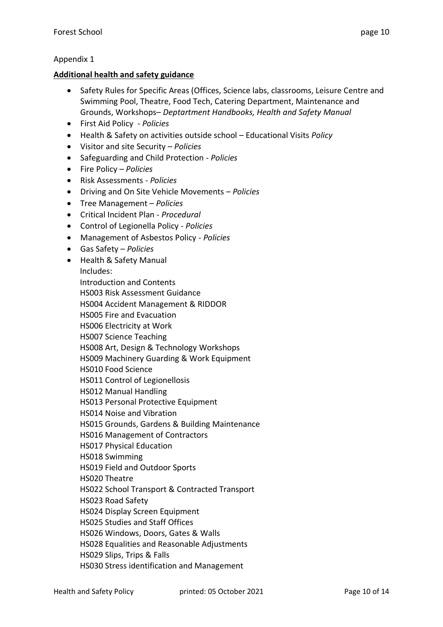#### Appendix 1

#### **Additional health and safety guidance**

- Safety Rules for Specific Areas (Offices, Science labs, classrooms, Leisure Centre and Swimming Pool, Theatre, Food Tech, Catering Department, Maintenance and Grounds, Workshops– *Deptartment Handbooks, Health and Safety Manual*
- First Aid Policy *Policies*
- Health & Safety on activities outside school Educational Visits *Policy*
- Visitor and site Security *Policies*
- Safeguarding and Child Protection *- Policies*
- Fire Policy *Policies*
- Risk Assessments *- Policies*
- Driving and On Site Vehicle Movements *Policies*
- Tree Management *Policies*
- Critical Incident Plan *Procedural*
- Control of Legionella Policy *- Policies*
- Management of Asbestos Policy *- Policies*
- Gas Safety *Policies*
- Health & Safety Manual Includes: Introduction and Contents HS003 Risk Assessment Guidance HS004 Accident Management & RIDDOR HS005 Fire and Evacuation HS006 Electricity at Work HS007 Science Teaching HS008 Art, Design & Technology Workshops HS009 Machinery Guarding & Work Equipment HS010 Food Science HS011 Control of Legionellosis HS012 Manual Handling HS013 Personal Protective Equipment HS014 Noise and Vibration HS015 Grounds, Gardens & Building Maintenance HS016 Management of Contractors HS017 Physical Education HS018 Swimming HS019 Field and Outdoor Sports HS020 Theatre HS022 School Transport & Contracted Transport HS023 Road Safety HS024 Display Screen Equipment HS025 Studies and Staff Offices HS026 Windows, Doors, Gates & Walls HS028 Equalities and Reasonable Adjustments HS029 Slips, Trips & Falls HS030 Stress identification and Management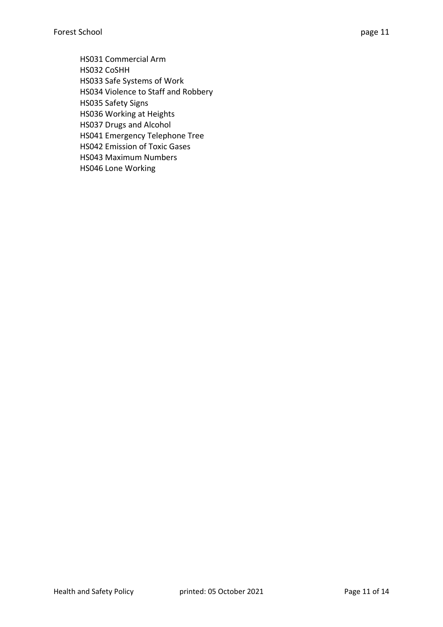HS031 Commercial Arm HS032 CoSHH HS033 Safe Systems of Work HS034 Violence to Staff and Robbery HS035 Safety Signs HS036 Working at Heights HS037 Drugs and Alcohol HS041 Emergency Telephone Tree HS042 Emission of Toxic Gases HS043 Maximum Numbers HS046 Lone Working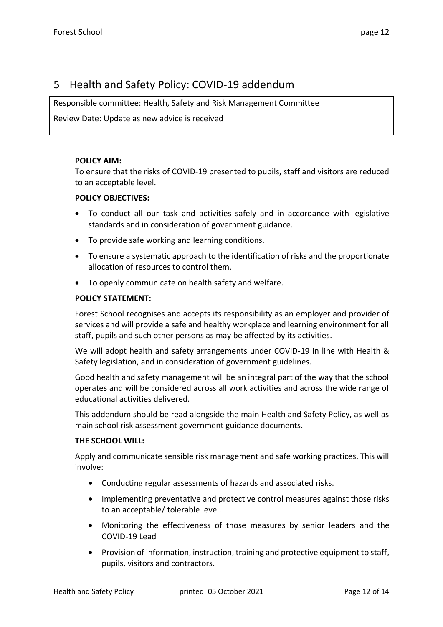### <span id="page-11-0"></span>5 Health and Safety Policy: COVID-19 addendum

Responsible committee: Health, Safety and Risk Management Committee

Review Date: Update as new advice is received

#### **POLICY AIM:**

To ensure that the risks of COVID-19 presented to pupils, staff and visitors are reduced to an acceptable level.

#### **POLICY OBJECTIVES:**

- To conduct all our task and activities safely and in accordance with legislative standards and in consideration of government guidance.
- To provide safe working and learning conditions.
- To ensure a systematic approach to the identification of risks and the proportionate allocation of resources to control them.
- To openly communicate on health safety and welfare.

#### **POLICY STATEMENT:**

Forest School recognises and accepts its responsibility as an employer and provider of services and will provide a safe and healthy workplace and learning environment for all staff, pupils and such other persons as may be affected by its activities.

We will adopt health and safety arrangements under COVID-19 in line with Health & Safety legislation, and in consideration of government guidelines.

Good health and safety management will be an integral part of the way that the school operates and will be considered across all work activities and across the wide range of educational activities delivered.

This addendum should be read alongside the main Health and Safety Policy, as well as main school risk assessment government guidance documents.

#### **THE SCHOOL WILL:**

Apply and communicate sensible risk management and safe working practices. This will involve:

- Conducting regular assessments of hazards and associated risks.
- Implementing preventative and protective control measures against those risks to an acceptable/ tolerable level.
- Monitoring the effectiveness of those measures by senior leaders and the COVID-19 Lead
- Provision of information, instruction, training and protective equipment to staff, pupils, visitors and contractors.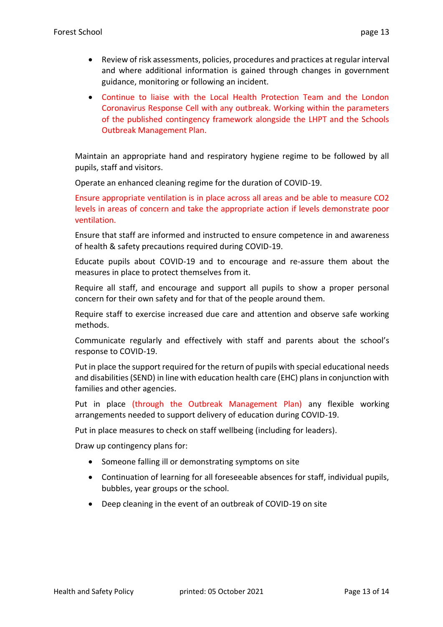- Review of risk assessments, policies, procedures and practices at regular interval and where additional information is gained through changes in government guidance, monitoring or following an incident.
- Continue to liaise with the Local Health Protection Team and the London Coronavirus Response Cell with any outbreak. Working within the parameters of the published contingency framework alongside the LHPT and the Schools Outbreak Management Plan.

Maintain an appropriate hand and respiratory hygiene regime to be followed by all pupils, staff and visitors.

Operate an enhanced cleaning regime for the duration of COVID-19.

Ensure appropriate ventilation is in place across all areas and be able to measure CO2 levels in areas of concern and take the appropriate action if levels demonstrate poor ventilation.

Ensure that staff are informed and instructed to ensure competence in and awareness of health & safety precautions required during COVID-19.

Educate pupils about COVID-19 and to encourage and re-assure them about the measures in place to protect themselves from it.

Require all staff, and encourage and support all pupils to show a proper personal concern for their own safety and for that of the people around them.

Require staff to exercise increased due care and attention and observe safe working methods.

Communicate regularly and effectively with staff and parents about the school's response to COVID-19.

Put in place the support required for the return of pupils with special educational needs and disabilities (SEND) in line with education health care (EHC) plans in conjunction with families and other agencies.

Put in place (through the Outbreak Management Plan) any flexible working arrangements needed to support delivery of education during COVID-19.

Put in place measures to check on staff wellbeing (including for leaders).

Draw up contingency plans for:

- Someone falling ill or demonstrating symptoms on site
- Continuation of learning for all foreseeable absences for staff, individual pupils, bubbles, year groups or the school.
- Deep cleaning in the event of an outbreak of COVID-19 on site